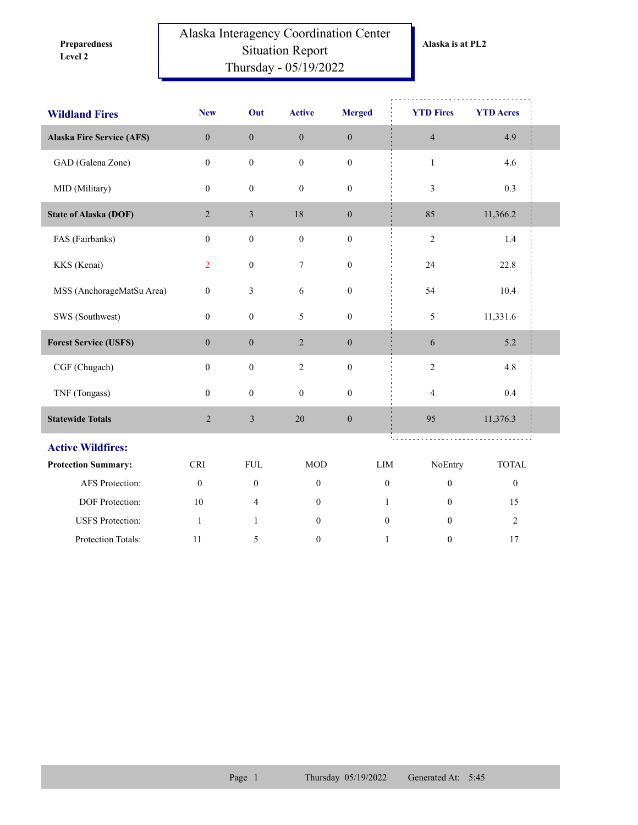**Level 2 Preparedness** 

## Alaska Interagency Coordination Center Situation Report Thursday - 05/19/2022

| <b>Wildland Fires</b>            | <b>New</b>       | Out              | <b>Active</b>    | <b>Merged</b>    | <b>YTD Fires</b>         | <b>YTD Acres</b> |  |
|----------------------------------|------------------|------------------|------------------|------------------|--------------------------|------------------|--|
| <b>Alaska Fire Service (AFS)</b> | $\boldsymbol{0}$ | $\boldsymbol{0}$ | $\boldsymbol{0}$ | $\boldsymbol{0}$ | $\overline{4}$           | 4.9              |  |
| GAD (Galena Zone)                | $\boldsymbol{0}$ | $\boldsymbol{0}$ | $\boldsymbol{0}$ | $\boldsymbol{0}$ | $\mathbf{1}$             | 4.6              |  |
| MID (Military)                   | $\boldsymbol{0}$ | $\boldsymbol{0}$ | $\boldsymbol{0}$ | $\boldsymbol{0}$ | $\mathfrak{Z}$           | 0.3              |  |
| <b>State of Alaska (DOF)</b>     | $\sqrt{2}$       | $\mathfrak{Z}$   | $18\,$           | $\boldsymbol{0}$ | 85                       | 11,366.2         |  |
| FAS (Fairbanks)                  | $\boldsymbol{0}$ | $\boldsymbol{0}$ | $\boldsymbol{0}$ | $\boldsymbol{0}$ | $\sqrt{2}$               | $1.4$            |  |
| KKS (Kenai)                      | $\overline{2}$   | $\boldsymbol{0}$ | $\boldsymbol{7}$ | $\boldsymbol{0}$ | 24                       | 22.8             |  |
| MSS (AnchorageMatSu Area)        | $\mathbf{0}$     | 3                | 6                | $\boldsymbol{0}$ | 54                       | 10.4             |  |
| SWS (Southwest)                  | $\boldsymbol{0}$ | $\boldsymbol{0}$ | 5                | $\boldsymbol{0}$ | $\mathfrak{S}$           | 11,331.6         |  |
| <b>Forest Service (USFS)</b>     | $\boldsymbol{0}$ | $\boldsymbol{0}$ | $\overline{2}$   | $\boldsymbol{0}$ | 6                        | 5.2              |  |
| CGF (Chugach)                    | $\mathbf{0}$     | $\boldsymbol{0}$ | $\sqrt{2}$       | $\boldsymbol{0}$ | $\sqrt{2}$               | 4.8              |  |
| TNF (Tongass)                    | $\boldsymbol{0}$ | $\boldsymbol{0}$ | $\boldsymbol{0}$ | $\boldsymbol{0}$ | $\overline{\mathcal{A}}$ | 0.4              |  |
| <b>Statewide Totals</b>          | $\sqrt{2}$       | $\mathfrak{Z}$   | 20               | $\boldsymbol{0}$ | 95                       | 11,376.3         |  |
| <b>Active Wildfires:</b>         |                  |                  |                  |                  |                          |                  |  |
| <b>Protection Summary:</b>       | <b>CRI</b>       | <b>FUL</b>       | <b>MOD</b>       | LIM              | NoEntry                  | <b>TOTAL</b>     |  |
| AFS Protection:                  | $\boldsymbol{0}$ | $\boldsymbol{0}$ | $\boldsymbol{0}$ | $\boldsymbol{0}$ | $\boldsymbol{0}$         | $\boldsymbol{0}$ |  |
| <b>DOF</b> Protection:           | $10\,$           | $\overline{4}$   | $\boldsymbol{0}$ | $\mathbf{1}$     | $\mathbf{0}$             | 15               |  |
| <b>USFS</b> Protection:          | $\mathbf{1}$     | $\mathbf{1}$     | $\overline{0}$   | $\mathbf{0}$     | $\theta$                 | $\overline{2}$   |  |
| Protection Totals:               | 11               | 5                | $\boldsymbol{0}$ | $\mathbf{1}$     | $\boldsymbol{0}$         | $17$             |  |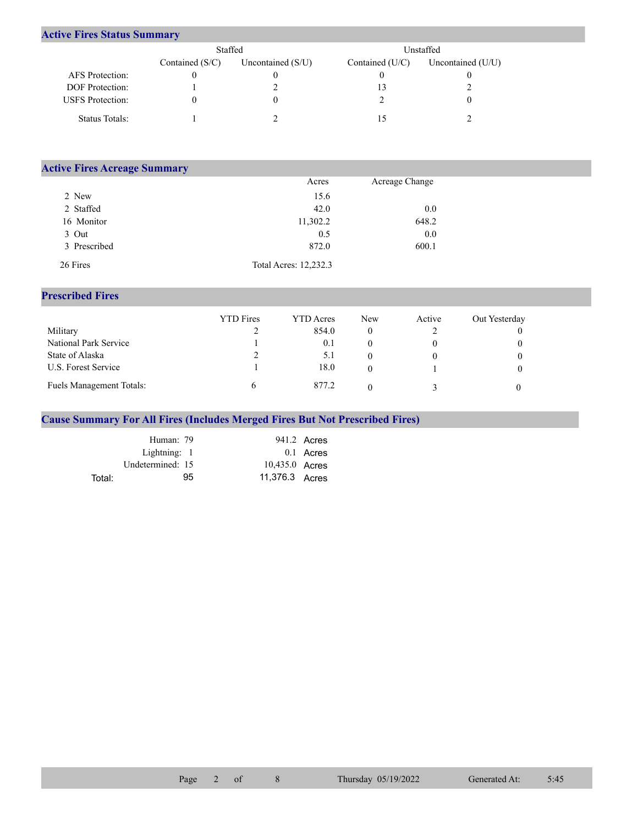## **Active Fires Status Summary**

|                         | Staffed           |                     | Unstaffed.      |                     |  |
|-------------------------|-------------------|---------------------|-----------------|---------------------|--|
|                         | Contained $(S/C)$ | Uncontained $(S/U)$ | Contained (U/C) | Uncontained $(U/U)$ |  |
| AFS Protection:         |                   |                     |                 |                     |  |
| <b>DOF</b> Protection:  |                   |                     |                 |                     |  |
| <b>USFS</b> Protection: |                   | 0                   |                 |                     |  |
| Status Totals:          |                   |                     |                 |                     |  |

| <b>Active Fires Acreage Summary</b> |                       |                |  |
|-------------------------------------|-----------------------|----------------|--|
|                                     | Acres                 | Acreage Change |  |
| 2 New                               | 15.6                  |                |  |
| 2 Staffed                           | 42.0                  | 0.0            |  |
| 16 Monitor                          | 11,302.2              | 648.2          |  |
| 3 Out                               | 0.5                   | 0.0            |  |
| 3 Prescribed                        | 872.0                 | 600.1          |  |
| 26 Fires                            | Total Acres: 12,232.3 |                |  |

## **Prescribed Fires**

|                          | <b>YTD</b> Fires | <b>YTD</b> Acres | New | Active | Out Yesterday |
|--------------------------|------------------|------------------|-----|--------|---------------|
| Military                 |                  | 854.0            | 0   |        |               |
| National Park Service    |                  | 0.1              |     |        |               |
| State of Alaska          |                  | 5.1              |     |        |               |
| U.S. Forest Service      |                  | 18.0             |     |        |               |
| Fuels Management Totals: |                  | 877.2            |     |        |               |

## **Cause Summary For All Fires (Includes Merged Fires But Not Prescribed Fires)**

|        | Human: 79        |                | 941.2 Acres |
|--------|------------------|----------------|-------------|
|        | Lightning: 1     |                | 0.1 Acres   |
|        | Undetermined: 15 | 10,435.0 Acres |             |
| Total: | 95               | 11,376.3 Acres |             |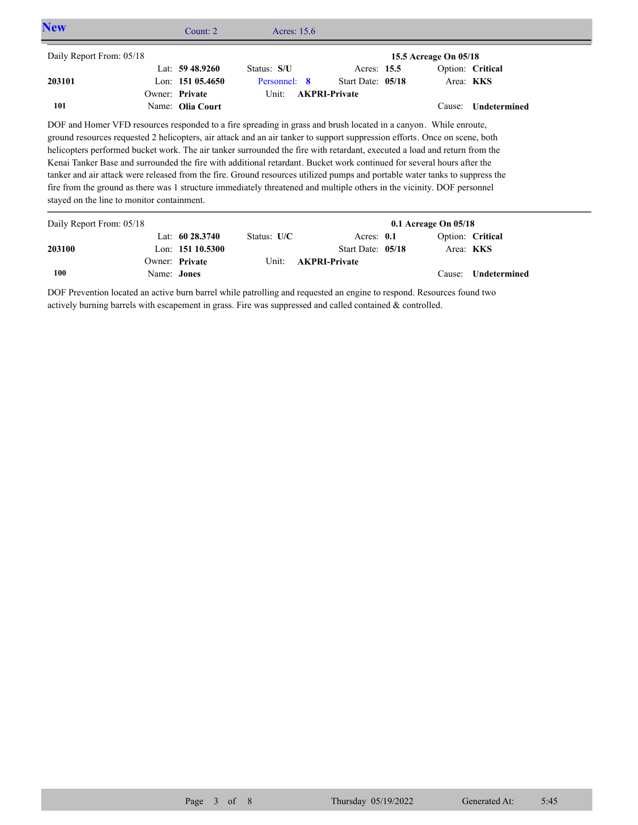| <b>New</b>                                 |                | Count: $2 \overline{ }$ | Acres: $15.6$                                                                                                                                                                                                                                                                                                                                                                                                                                                                                                                                                                                                                                                                                                                                                   |                      |                          |                  |  |
|--------------------------------------------|----------------|-------------------------|-----------------------------------------------------------------------------------------------------------------------------------------------------------------------------------------------------------------------------------------------------------------------------------------------------------------------------------------------------------------------------------------------------------------------------------------------------------------------------------------------------------------------------------------------------------------------------------------------------------------------------------------------------------------------------------------------------------------------------------------------------------------|----------------------|--------------------------|------------------|--|
| Daily Report From: 05/18                   |                |                         |                                                                                                                                                                                                                                                                                                                                                                                                                                                                                                                                                                                                                                                                                                                                                                 |                      | 15.5 Acreage On 05/18    |                  |  |
|                                            |                | Lat: $59\,48.9260$      | Status: S/U                                                                                                                                                                                                                                                                                                                                                                                                                                                                                                                                                                                                                                                                                                                                                     | Acres: 15.5          |                          | Option: Critical |  |
| 203101                                     |                | Lon: $15105.4650$       | Personnel: 8                                                                                                                                                                                                                                                                                                                                                                                                                                                                                                                                                                                                                                                                                                                                                    | Start Date: 05/18    |                          | Area: <b>KKS</b> |  |
|                                            | Owner: Private |                         | Unit:                                                                                                                                                                                                                                                                                                                                                                                                                                                                                                                                                                                                                                                                                                                                                           | <b>AKPRI-Private</b> |                          |                  |  |
| 101                                        |                | Name: Olia Court        |                                                                                                                                                                                                                                                                                                                                                                                                                                                                                                                                                                                                                                                                                                                                                                 |                      | Cause:                   | Undetermined     |  |
| stayed on the line to monitor containment. |                |                         | DOF and Homer VFD resources responded to a fire spreading in grass and brush located in a canyon. While enroute,<br>ground resources requested 2 helicopters, air attack and an air tanker to support suppression efforts. Once on scene, both<br>helicopters performed bucket work. The air tanker surrounded the fire with retardant, executed a load and return from the<br>Kenai Tanker Base and surrounded the fire with additional retardant. Bucket work continued for several hours after the<br>tanker and air attack were released from the fire. Ground resources utilized pumps and portable water tanks to suppress the<br>fire from the ground as there was 1 structure immediately threatened and multiple others in the vicinity. DOF personnel |                      |                          |                  |  |
| Daily Report From: 05/18                   |                |                         |                                                                                                                                                                                                                                                                                                                                                                                                                                                                                                                                                                                                                                                                                                                                                                 |                      | $0.1$ Acreage On $05/18$ |                  |  |

| Daily Report From: 05/18 |                    |                    |               |                            | U.I Acreage Un U5/18 |                  |                     |
|--------------------------|--------------------|--------------------|---------------|----------------------------|----------------------|------------------|---------------------|
|                          |                    | Lat: $60\,28.3740$ | Status: $U/C$ | Acres: $0.1$               |                      |                  | Option: Critical    |
| 203100                   |                    | Lon: $15110.5300$  |               | Start Date: 05/18          |                      | Area: <b>KKS</b> |                     |
|                          |                    | Owner: Private     |               | Unit: <b>AKPRI-Private</b> |                      |                  |                     |
| 100                      | Name: <b>Jones</b> |                    |               |                            |                      |                  | Cause: Undetermined |

DOF Prevention located an active burn barrel while patrolling and requested an engine to respond. Resources found two actively burning barrels with escapement in grass. Fire was suppressed and called contained & controlled.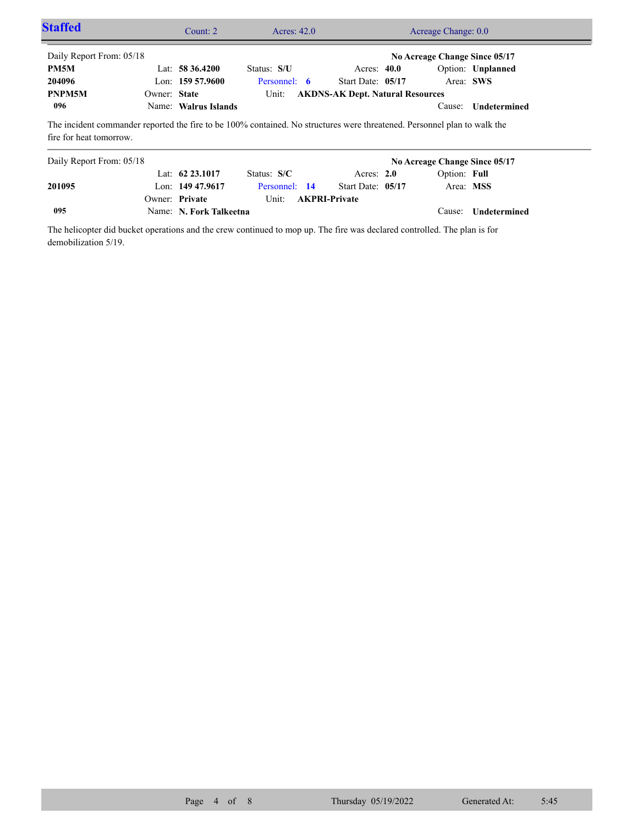| <b>Staffed</b>           |              | Count: $2 \overline{ }$ | Acres: $42.0$ |                                                                                                                          | Acreage Change: 0.0                        |                     |
|--------------------------|--------------|-------------------------|---------------|--------------------------------------------------------------------------------------------------------------------------|--------------------------------------------|---------------------|
| Daily Report From: 05/18 |              |                         |               |                                                                                                                          | No Acreage Change Since 05/17              |                     |
| PM5M                     |              | Lat: $58\,36.4200$      | Status: S/U   | Acres: $40.0$                                                                                                            |                                            | Option: Unplanned   |
| 204096                   |              | Lon: $15957.9600$       | Personnel: 6  | Start Date: 05/17                                                                                                        |                                            | Area: SWS           |
| PNPM5M                   | Owner: State |                         |               | Unit: AKDNS-AK Dept. Natural Resources                                                                                   |                                            |                     |
| 096                      |              | Name: Walrus Islands    |               |                                                                                                                          |                                            | Cause: Undetermined |
| fire for heat tomorrow.  |              |                         |               | The incident commander reported the fire to be 100% contained. No structures were threatened. Personnel plan to walk the |                                            |                     |
|                          |              |                         |               |                                                                                                                          | $\cdots$ . The second contract of $\cdots$ |                     |

| Daily Report From: 05/18 |                         |               |                            |                   | No Acreage Change Since 05/17 |                            |
|--------------------------|-------------------------|---------------|----------------------------|-------------------|-------------------------------|----------------------------|
|                          | Lat: $62\,23.1017$      | Status: $S/C$ |                            | Acres: $2.0$      | Option: Full                  |                            |
| 201095                   | Lon: $149\,47.9617$     | Personnel: 14 |                            | Start Date: 05/17 | Area: MSS                     |                            |
|                          | Owner: Private          |               | Unit: <b>AKPRI-Private</b> |                   |                               |                            |
| 095                      | Name: N. Fork Talkeetna |               |                            |                   |                               | Cause: <b>Undetermined</b> |

The helicopter did bucket operations and the crew continued to mop up. The fire was declared controlled. The plan is for demobilization 5/19.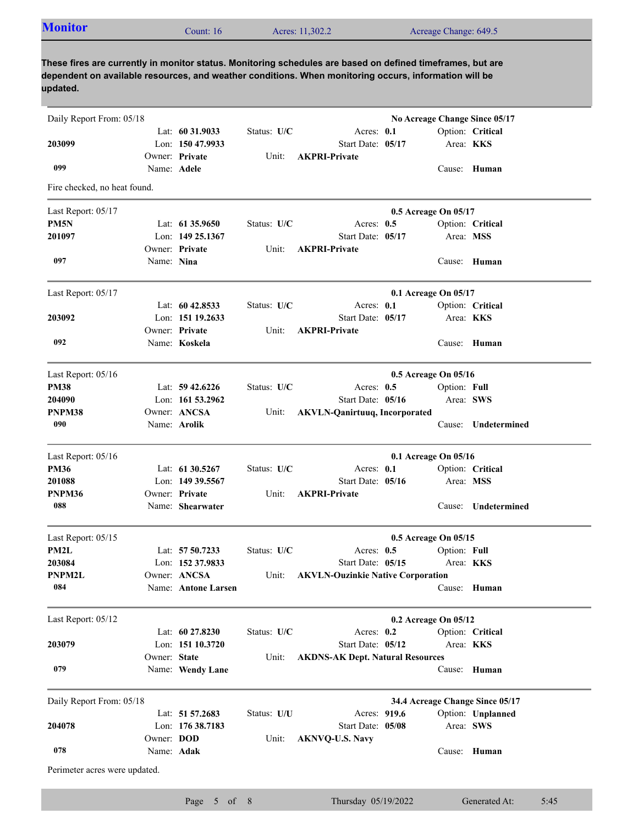| <b>Monitor</b> | Count: $16$ | Acres: 11,302.2 | Acreage Change: 649.5 |
|----------------|-------------|-----------------|-----------------------|
|                |             |                 |                       |

**These fires are currently in monitor status. Monitoring schedules are based on defined timeframes, but are dependent on available resources, and weather conditions. When monitoring occurs, information will be updated.**

| Daily Report From: 05/18      |              |                     |             |                                          |                      |              | No Acreage Change Since 05/17   |
|-------------------------------|--------------|---------------------|-------------|------------------------------------------|----------------------|--------------|---------------------------------|
|                               |              | Lat: $60\,31.9033$  | Status: U/C | Acres: 0.1                               |                      |              | Option: Critical                |
| 203099                        |              | Lon: 150 47.9933    |             | Start Date: 05/17                        |                      |              | Area: KKS                       |
| 099                           | Name: Adele  | Owner: Private      | Unit:       | <b>AKPRI-Private</b>                     |                      |              | Cause: Human                    |
| Fire checked, no heat found.  |              |                     |             |                                          |                      |              |                                 |
|                               |              |                     |             |                                          |                      |              |                                 |
| Last Report: 05/17            |              |                     |             |                                          | 0.5 Acreage On 05/17 |              |                                 |
| PM <sub>5N</sub>              |              | Lat: 61 35.9650     | Status: U/C | Acres: $0.5$                             |                      |              | Option: Critical                |
| 201097                        |              | Lon: 149 25,1367    |             | Start Date: 05/17                        |                      |              | Area: MSS                       |
| 097                           |              | Owner: Private      | Unit:       | <b>AKPRI-Private</b>                     |                      |              |                                 |
|                               | Name: Nina   |                     |             |                                          |                      |              | Cause: Human                    |
| Last Report: 05/17            |              |                     |             |                                          | 0.1 Acreage On 05/17 |              |                                 |
|                               |              | Lat: $60\,42.8533$  | Status: U/C | Acres: 0.1                               |                      |              | Option: Critical                |
| 203092                        |              | Lon: 151 19.2633    |             | Start Date: 05/17                        |                      |              | Area: KKS                       |
|                               |              | Owner: Private      | Unit:       | <b>AKPRI-Private</b>                     |                      |              |                                 |
| 092                           |              | Name: Koskela       |             |                                          |                      |              | Cause: Human                    |
| Last Report: 05/16            |              |                     |             |                                          | 0.5 Acreage On 05/16 |              |                                 |
| <b>PM38</b>                   |              | Lat: $59\,42.6226$  | Status: U/C | Acres: $0.5$                             |                      | Option: Full |                                 |
| 204090                        |              | Lon: 161 53.2962    |             | Start Date: 05/16                        |                      |              | Area: SWS                       |
| PNPM38                        |              | Owner: ANCSA        | Unit:       | <b>AKVLN-Qanirtuuq, Incorporated</b>     |                      |              |                                 |
| 090                           |              | Name: Arolik        |             |                                          |                      |              | Cause: Undetermined             |
| Last Report: 05/16            |              |                     |             |                                          | 0.1 Acreage On 05/16 |              |                                 |
| <b>PM36</b>                   |              | Lat: 61 30.5267     | Status: U/C | Acres: 0.1                               |                      |              | Option: Critical                |
| 201088                        |              | Lon: 149 39.5567    |             | Start Date: 05/16                        |                      |              | Area: MSS                       |
| PNPM36                        |              | Owner: Private      | Unit:       | <b>AKPRI-Private</b>                     |                      |              |                                 |
| 088                           |              | Name: Shearwater    |             |                                          |                      | Cause:       | Undetermined                    |
| Last Report: 05/15            |              |                     |             |                                          | 0.5 Acreage On 05/15 |              |                                 |
| PM2L                          |              | Lat: 57 50.7233     | Status: U/C | Acres: $0.5$                             |                      | Option: Full |                                 |
| 203084                        |              | Lon: 152 37.9833    |             | Start Date: 05/15                        |                      |              | Area: <b>KKS</b>                |
| PNPM2L                        |              | Owner: ANCSA        | Unit:       | <b>AKVLN-Ouzinkie Native Corporation</b> |                      |              |                                 |
| 084                           |              | Name: Antone Larsen |             |                                          |                      |              | Cause: Human                    |
| Last Report: 05/12            |              |                     |             |                                          |                      |              |                                 |
|                               |              | Lat: $60\,27.8230$  | Status: U/C | Acres: $0.2$                             | 0.2 Acreage On 05/12 |              | Option: Critical                |
| 203079                        |              | Lon: 151 10.3720    |             | Start Date: 05/12                        |                      |              | Area: KKS                       |
|                               | Owner: State |                     | Unit:       | <b>AKDNS-AK Dept. Natural Resources</b>  |                      |              |                                 |
| 079                           |              | Name: Wendy Lane    |             |                                          |                      |              | Cause: Human                    |
| Daily Report From: 05/18      |              |                     |             |                                          |                      |              | 34.4 Acreage Change Since 05/17 |
|                               |              | Lat: 51 57.2683     | Status: U/U | Acres: 919.6                             |                      |              | Option: Unplanned               |
| 204078                        |              | Lon: 176 38.7183    |             | Start Date: 05/08                        |                      |              | Area: SWS                       |
|                               | Owner: DOD   |                     | Unit:       | <b>AKNVQ-U.S. Navy</b>                   |                      |              |                                 |
| 078                           | Name: Adak   |                     |             |                                          |                      |              | Cause: Human                    |
| Perimeter acres were updated. |              |                     |             |                                          |                      |              |                                 |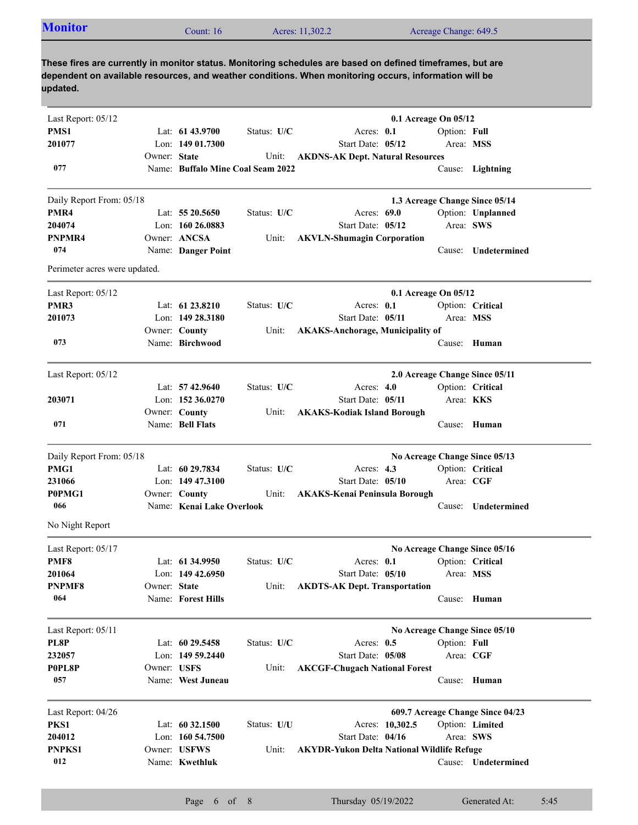| <b>Monitor</b> | Count: $16$ | Acres: 11,302.2 | Acreage Change: 649.5                                                                                                                                                                                               |  |
|----------------|-------------|-----------------|---------------------------------------------------------------------------------------------------------------------------------------------------------------------------------------------------------------------|--|
| updated.       |             |                 | These fires are currently in monitor status. Monitoring schedules are based on defined timeframes, but are<br>dependent on available resources, and weather conditions. When monitoring occurs, information will be |  |

| Last Report: 05/12            |              |                                   |             |                                                   | 0.1 Acreage On 05/12           |              |                                  |  |
|-------------------------------|--------------|-----------------------------------|-------------|---------------------------------------------------|--------------------------------|--------------|----------------------------------|--|
| PMS1                          |              | Lat: 61 43.9700                   | Status: U/C | Acres: 0.1                                        |                                | Option: Full |                                  |  |
| 201077                        |              | Lon: 149 01.7300                  |             | Start Date: 05/12                                 |                                | Area: MSS    |                                  |  |
|                               | Owner: State |                                   | Unit:       | <b>AKDNS-AK Dept. Natural Resources</b>           |                                |              |                                  |  |
| 077                           |              | Name: Buffalo Mine Coal Seam 2022 |             |                                                   |                                |              | Cause: Lightning                 |  |
| Daily Report From: 05/18      |              |                                   |             |                                                   |                                |              | 1.3 Acreage Change Since 05/14   |  |
| PMR4                          |              | Lat: $5520.5650$                  | Status: U/C | Acres: 69.0                                       |                                |              | Option: Unplanned                |  |
| 204074                        |              | Lon: $16026.0883$                 |             | Start Date: 05/12                                 |                                | Area: SWS    |                                  |  |
| PNPMR4                        |              | Owner: ANCSA                      | Unit:       | <b>AKVLN-Shumagin Corporation</b>                 |                                |              |                                  |  |
| 074                           |              | Name: Danger Point                |             |                                                   |                                | Cause:       | Undetermined                     |  |
| Perimeter acres were updated. |              |                                   |             |                                                   |                                |              |                                  |  |
| Last Report: 05/12            |              |                                   |             |                                                   | 0.1 Acreage On 05/12           |              |                                  |  |
| PMR3                          |              | Lat: 61 23.8210                   | Status: U/C | Acres: 0.1                                        |                                |              | Option: Critical                 |  |
| 201073                        |              | Lon: 149 28.3180                  |             | Start Date: 05/11                                 |                                | Area: MSS    |                                  |  |
|                               |              | Owner: County                     | Unit:       | <b>AKAKS-Anchorage, Municipality of</b>           |                                |              |                                  |  |
| 073                           |              | Name: Birchwood                   |             |                                                   |                                |              | Cause: Human                     |  |
|                               |              |                                   |             |                                                   |                                |              |                                  |  |
| Last Report: 05/12            |              |                                   |             |                                                   | 2.0 Acreage Change Since 05/11 |              |                                  |  |
|                               |              | Lat: $57\,42.9640$                | Status: U/C | Acres: $4.0$                                      |                                |              | Option: Critical                 |  |
| 203071                        |              | Lon: 152 36.0270                  |             | Start Date: 05/11                                 |                                | Area: KKS    |                                  |  |
|                               |              | Owner: County                     | Unit:       | <b>AKAKS-Kodiak Island Borough</b>                |                                |              |                                  |  |
| 071                           |              | Name: Bell Flats                  |             |                                                   |                                |              | Cause: Human                     |  |
| Daily Report From: 05/18      |              |                                   |             |                                                   |                                |              | No Acreage Change Since 05/13    |  |
| PMG1                          |              | Lat: 60 29.7834                   | Status: U/C | Acres: $4.3$                                      |                                |              | Option: Critical                 |  |
| 231066                        |              | Lon: $14947.3100$                 |             | Start Date: 05/10                                 |                                | Area: CGF    |                                  |  |
| P0PMG1                        |              | Owner: County                     | Unit:       | <b>AKAKS-Kenai Peninsula Borough</b>              |                                |              |                                  |  |
| 066                           |              | Name: Kenai Lake Overlook         |             |                                                   |                                | Cause:       | Undetermined                     |  |
| No Night Report               |              |                                   |             |                                                   |                                |              |                                  |  |
| Last Report: 05/17            |              |                                   |             |                                                   |                                |              | No Acreage Change Since 05/16    |  |
| PMF8                          |              | Lat: $61\,34.9950$                | Status: U/C | Acres: 0.1                                        |                                |              | Option: Critical                 |  |
| 201064                        |              | Lon: 149 42.6950                  |             | Start Date: 05/10                                 |                                | Area: MSS    |                                  |  |
| PNPMF8                        | Owner: State |                                   | Unit:       | <b>AKDTS-AK Dept. Transportation</b>              |                                |              |                                  |  |
| 064                           |              | Name: Forest Hills                |             |                                                   |                                |              | Cause: Human                     |  |
| Last Report: 05/11            |              |                                   |             |                                                   |                                |              | No Acreage Change Since 05/10    |  |
| PL8P                          |              | Lat: 60 29.5458                   | Status: U/C | Acres: $0.5$                                      |                                | Option: Full |                                  |  |
| 232057                        |              | Lon: 149 59.2440                  |             | Start Date: 05/08                                 |                                | Area: CGF    |                                  |  |
| P0PL8P                        | Owner: USFS  |                                   | Unit:       | <b>AKCGF-Chugach National Forest</b>              |                                |              |                                  |  |
| 057                           |              | Name: West Juneau                 |             |                                                   |                                |              | Cause: Human                     |  |
|                               |              |                                   |             |                                                   |                                |              |                                  |  |
| Last Report: 04/26            |              | Lat: 60 32.1500                   |             |                                                   |                                |              | 609.7 Acreage Change Since 04/23 |  |
| PKS1<br>204012                |              | Lon: 160 54.7500                  | Status: U/U | Start Date: 04/16                                 | Acres: 10,302.5                | Area: SWS    | Option: Limited                  |  |
| PNPKS1                        |              | Owner: USFWS                      |             |                                                   |                                |              |                                  |  |
| 012                           |              | Name: Kwethluk                    | Unit:       | <b>AKYDR-Yukon Delta National Wildlife Refuge</b> |                                |              | Cause: Undetermined              |  |
|                               |              |                                   |             |                                                   |                                |              |                                  |  |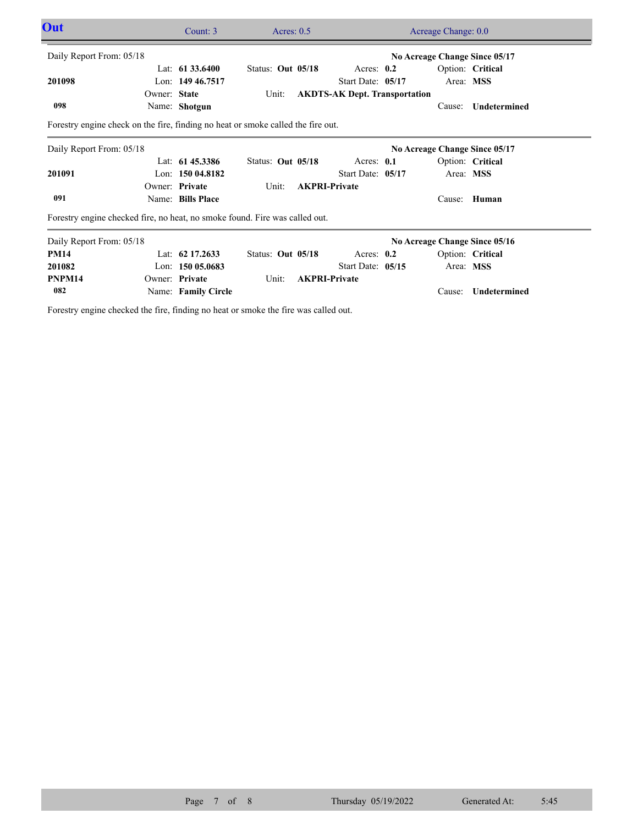| Out                                                                              |              | Count: 3            | Acres: $0.5$      |                                      | Acreage Change: 0.0           |                               |           |                     |  |
|----------------------------------------------------------------------------------|--------------|---------------------|-------------------|--------------------------------------|-------------------------------|-------------------------------|-----------|---------------------|--|
| Daily Report From: 05/18<br>No Acreage Change Since 05/17                        |              |                     |                   |                                      |                               |                               |           |                     |  |
|                                                                                  |              | Lat: $61\,33.6400$  | Status: Out 05/18 |                                      | Acres: 0.2                    |                               |           | Option: Critical    |  |
| 201098                                                                           |              | Lon: 149 46.7517    |                   |                                      | Start Date: 05/17             |                               | Area: MSS |                     |  |
|                                                                                  | Owner: State |                     | Unit:             | <b>AKDTS-AK Dept. Transportation</b> |                               |                               |           |                     |  |
| 098                                                                              |              | Name: Shotgun       |                   |                                      |                               |                               | Cause:    | Undetermined        |  |
| Forestry engine check on the fire, finding no heat or smoke called the fire out. |              |                     |                   |                                      |                               |                               |           |                     |  |
| Daily Report From: 05/18                                                         |              |                     |                   |                                      | No Acreage Change Since 05/17 |                               |           |                     |  |
|                                                                                  |              | Lat: 61 45.3386     | Status: Out 05/18 |                                      | Acres: 0.1                    |                               |           | Option: Critical    |  |
| 201091                                                                           |              | Lon: $15004.8182$   |                   |                                      | Start Date: 05/17             |                               | Area: MSS |                     |  |
|                                                                                  |              | Owner: Private      | Unit:             | <b>AKPRI-Private</b>                 |                               |                               |           |                     |  |
| 091                                                                              |              | Name: Bills Place   |                   |                                      |                               |                               | Cause:    | Human               |  |
| Forestry engine checked fire, no heat, no smoke found. Fire was called out.      |              |                     |                   |                                      |                               |                               |           |                     |  |
| Daily Report From: 05/18                                                         |              |                     |                   |                                      |                               | No Acreage Change Since 05/16 |           |                     |  |
| <b>PM14</b>                                                                      |              | Lat: $62\,17.2633$  | Status: Out 05/18 |                                      | Acres: $0.2$                  |                               |           | Option: Critical    |  |
| 201082                                                                           |              | Lon: $15005.0683$   |                   |                                      | Start Date: 05/15             |                               | Area: MSS |                     |  |
| PNPM14                                                                           |              | Owner: Private      | Unit:             |                                      | <b>AKPRI-Private</b>          |                               |           |                     |  |
| 082                                                                              |              | Name: Family Circle |                   |                                      |                               |                               | Cause:    | <b>Undetermined</b> |  |

Forestry engine checked the fire, finding no heat or smoke the fire was called out.